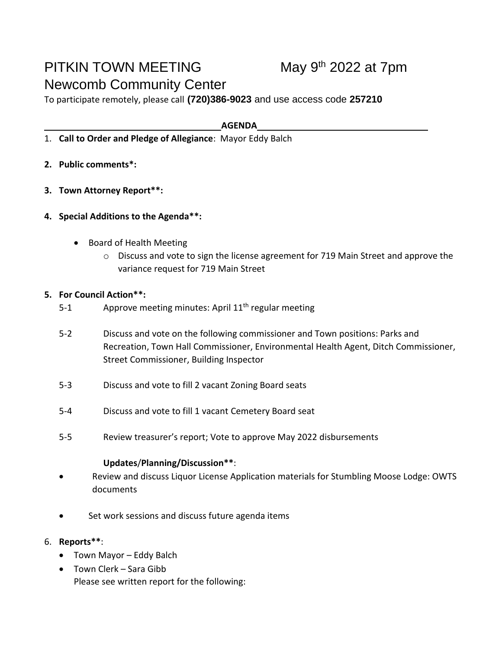# PITKIN TOWN MEETING

## May  $9<sup>th</sup>$  2022 at 7pm

### Newcomb Community Center

To participate remotely, please call **(720)386-9023** and use access code **257210**

#### **AGENDA**

- 1. **Call to Order and Pledge of Allegiance**: Mayor Eddy Balch
- **2. Public comments\*:**
- **3. Town Attorney Report\*\*:**
- **4. Special Additions to the Agenda\*\*:**
	- Board of Health Meeting
		- $\circ$  Discuss and vote to sign the license agreement for 719 Main Street and approve the variance request for 719 Main Street

#### **5. For Council Action\*\*:**

- 5-1 Approve meeting minutes: April 11<sup>th</sup> regular meeting
- 5-2 Discuss and vote on the following commissioner and Town positions: Parks and Recreation, Town Hall Commissioner, Environmental Health Agent, Ditch Commissioner, Street Commissioner, Building Inspector
- 5-3 Discuss and vote to fill 2 vacant Zoning Board seats
- 5-4 Discuss and vote to fill 1 vacant Cemetery Board seat
- 5-5 Review treasurer's report; Vote to approve May 2022 disbursements

#### **Updates**/**Planning/Discussion\*\***:

- Review and discuss Liquor License Application materials for Stumbling Moose Lodge: OWTS documents
- Set work sessions and discuss future agenda items

#### 6. **Reports\*\***:

- Town Mayor Eddy Balch
- Town Clerk Sara Gibb Please see written report for the following: